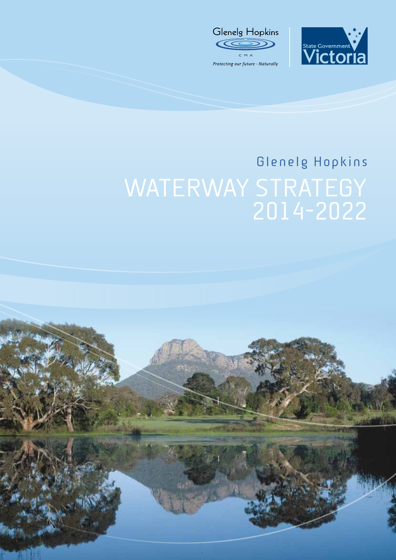



# WATERWAY STRATEGY 2014-2022 Glenelg Hopkins

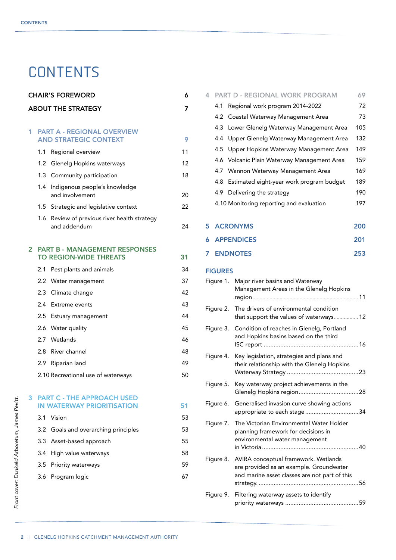# **CONTENTS**

| <b>CHAIR'S FOREWORD</b><br>6 |                                                                        |                                                          |    |
|------------------------------|------------------------------------------------------------------------|----------------------------------------------------------|----|
|                              |                                                                        | <b>ABOUT THE STRATEGY</b>                                | 7  |
| 1                            |                                                                        | <b>PART A - REGIONAL OVERVIEW</b>                        |    |
|                              |                                                                        | <b>AND STRATEGIC CONTEXT</b>                             | 9  |
|                              | 1.1                                                                    | Regional overview                                        | 11 |
|                              | 1.2                                                                    | Glenelg Hopkins waterways                                | 12 |
|                              |                                                                        | 1.3 Community participation                              | 18 |
|                              | 1.4                                                                    | Indigenous people's knowledge<br>and involvement         | 20 |
|                              | 1.5                                                                    | Strategic and legislative context                        | 22 |
|                              | 1.6                                                                    | Review of previous river health strategy<br>and addendum | 24 |
| $\overline{2}$               | <b>PART B - MANAGEMENT RESPONSES</b><br><b>TO REGION-WIDE THREATS</b>  |                                                          | 31 |
|                              | 2.1                                                                    | Pest plants and animals                                  | 34 |
|                              | $2.2^{\circ}$                                                          | Water management                                         | 37 |
|                              | 2.3                                                                    | Climate change                                           | 42 |
|                              | 2.4                                                                    | Extreme events                                           | 43 |
|                              | 2.5                                                                    | Estuary management                                       | 44 |
|                              |                                                                        | 2.6 Water quality                                        | 45 |
|                              |                                                                        | 2.7 Wetlands                                             | 46 |
|                              | 2.8                                                                    | River channel                                            | 48 |
|                              | 2.9                                                                    | Riparian land                                            | 49 |
|                              |                                                                        | 2.10 Recreational use of waterways                       | 50 |
| 3                            | <b>PART C - THE APPROACH USED</b><br><b>IN WATERWAY PRIORITISATION</b> |                                                          | 51 |
|                              | 3.1                                                                    | Vision                                                   | 53 |
|                              | 3.2                                                                    | Goals and overarching principles                         | 53 |
|                              | 3.3                                                                    | Asset-based approach                                     | 55 |
|                              | 3.4                                                                    | High value waterways                                     | 58 |
|                              | 3.5                                                                    | Priority waterways                                       | 59 |
|                              | 3.6                                                                    | Program logic                                            | 67 |
|                              |                                                                        |                                                          |    |

| 4.                   |                | <b>PART D - REGIONAL WORK PROGRAM</b>                                              | 69  |
|----------------------|----------------|------------------------------------------------------------------------------------|-----|
|                      | 4.1            | Regional work program 2014-2022                                                    | 72  |
|                      | 4.2            | Coastal Waterway Management Area                                                   | 73  |
|                      | 4.3            | Lower Glenelg Waterway Management Area                                             | 105 |
|                      | 4.4            | Upper Glenelg Waterway Management Area                                             | 132 |
|                      | 4.5            | Upper Hopkins Waterway Management Area                                             | 149 |
|                      | 4.6            | Volcanic Plain Waterway Management Area                                            | 159 |
|                      | 4.7            | Wannon Waterway Management Area                                                    | 169 |
|                      | 4.8            | Estimated eight-year work program budget                                           | 189 |
|                      | 4.9            | Delivering the strategy                                                            | 190 |
|                      |                | 4.10 Monitoring reporting and evaluation                                           | 197 |
|                      |                |                                                                                    |     |
| 5                    |                | <b>ACRONYMS</b>                                                                    | 200 |
| 6                    |                | <b>APPENDICES</b>                                                                  | 201 |
| <b>ENDNOTES</b><br>7 |                |                                                                                    | 253 |
|                      | <b>FIGURES</b> |                                                                                    |     |
| Figure 1.            |                | Major river basins and Waterway                                                    |     |
|                      |                | Management Areas in the Glenelg Hopkins                                            |     |
| Figure 2.            |                | The drivers of environmental condition<br>that support the values of waterways 12  |     |
| Figure 3.            |                | Condition of reaches in Glenelg, Portland<br>and Hopkins basins based on the third |     |
| Figure 4.            |                | Key legislation, strategies and plans and                                          |     |
|                      |                | their relationship with the Glenelg Hopkins                                        |     |
| Figure 5.            |                | Key waterway project achievements in the                                           |     |

| Figure 6. Generalised invasion curve showing actions<br>appropriate to each stage34                                                        |    |
|--------------------------------------------------------------------------------------------------------------------------------------------|----|
| Figure 7. The Victorian Environmental Water Holder<br>planning framework for decisions in<br>environmental water management                |    |
| Figure 8. AVIRA conceptual framework. Wetlands<br>are provided as an example. Groundwater<br>and marine asset classes are not part of this | 56 |
| the contract of the contract of the contract of the contract of the contract of the contract of the contract of                            |    |

| Figure 9. Filtering waterway assets to identify |  |
|-------------------------------------------------|--|
|                                                 |  |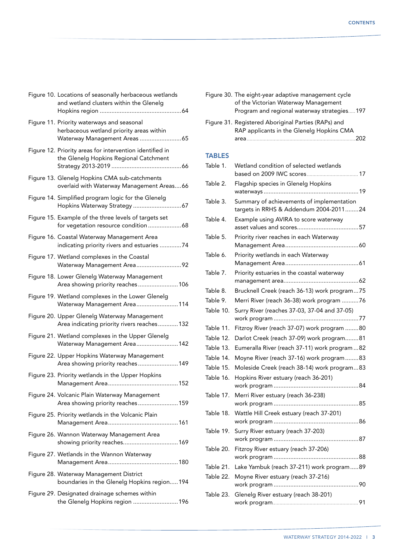| Figure 10. Locations of seasonally herbaceous wetlands<br>and wetland clusters within the Glenelg                       |
|-------------------------------------------------------------------------------------------------------------------------|
| Figure 11. Priority waterways and seasonal<br>herbaceous wetland priority areas within<br>Waterway Management Areas  65 |
| Figure 12. Priority areas for intervention identified in<br>the Glenelg Hopkins Regional Catchment                      |
| Figure 13. Glenelg Hopkins CMA sub-catchments<br>overlaid with Waterway Management Areas66                              |
| Figure 14. Simplified program logic for the Glenelg                                                                     |
| Figure 15. Example of the three levels of targets set<br>for vegetation resource condition68                            |
| Figure 16. Coastal Waterway Management Area<br>indicating priority rivers and estuaries 74                              |
| Figure 17. Wetland complexes in the Coastal<br>Waterway Management Area92                                               |
| Figure 18. Lower Glenelg Waterway Management<br>Area showing priority reaches 106                                       |
| Figure 19. Wetland complexes in the Lower Glenelg<br>Waterway Management Area114                                        |
| Figure 20. Upper Glenelg Waterway Management<br>Area indicating priority rivers reaches 132                             |
| Figure 21. Wetland complexes in the Upper Glenelg<br>Waterway Management Area 142                                       |
| Figure 22. Upper Hopkins Waterway Management<br>Area showing priority reaches 149                                       |
| Figure 23. Priority wetlands in the Upper Hopkins                                                                       |
| Figure 24. Volcanic Plain Waterway Management<br>Area showing priority reaches159                                       |
| Figure 25. Priority wetlands in the Volcanic Plain                                                                      |
| Figure 26. Wannon Waterway Management Area<br>showing priority reaches 169                                              |
| Figure 27. Wetlands in the Wannon Waterway                                                                              |
| Figure 28. Waterway Management District<br>boundaries in the Glenelg Hopkins region 194                                 |
| Figure 29. Designated drainage schemes within<br>the Glenelg Hopkins region  196                                        |

|               | Figure 30. The eight-year adaptive management cycle<br>of the Victorian Waterway Management<br>Program and regional waterway strategies197 |
|---------------|--------------------------------------------------------------------------------------------------------------------------------------------|
|               | Figure 31. Registered Aboriginal Parties (RAPs) and<br>RAP applicants in the Glenelg Hopkins CMA                                           |
| <b>TABLES</b> |                                                                                                                                            |
| Table 1.      | Wetland condition of selected wetlands                                                                                                     |
| Table 2.      | Flagship species in Glenelg Hopkins                                                                                                        |
| Table 3.      | Summary of achievements of implementation<br>targets in RRHS & Addendum 2004-201124                                                        |
| Table 4.      | Example using AVIRA to score waterway                                                                                                      |
| Table 5.      | Priority river reaches in each Waterway                                                                                                    |
| Table 6.      | Priority wetlands in each Waterway                                                                                                         |
| Table 7.      | Priority estuaries in the coastal waterway                                                                                                 |
| Table 8.      | Brucknell Creek (reach 36-13) work program75                                                                                               |
| Table 9.      | Merri River (reach 36-38) work program 76                                                                                                  |
| Table 10.     | Surry River (reaches 37-03, 37-04 and 37-05)                                                                                               |
| Table 11.     | Fitzroy River (reach 37-07) work program 80                                                                                                |
| Table 12.     | Darlot Creek (reach 37-09) work program81                                                                                                  |
| Table 13.     | Eumeralla River (reach 37-11) work program  82                                                                                             |
| Table 14.     | Moyne River (reach 37-16) work program83                                                                                                   |
| Table 15.     | Moleside Creek (reach 38-14) work program83                                                                                                |
| Table 16.     | Hopkins River estuary (reach 36-201)                                                                                                       |
| Table 17.     | Merri River estuary (reach 36-238)                                                                                                         |
| Table 18.     | Wattle Hill Creek estuary (reach 37-201)                                                                                                   |
| Table 19.     | Surry River estuary (reach 37-203)                                                                                                         |
| Table 20.     | Fitzroy River estuary (reach 37-206)                                                                                                       |
| Table 21.     | Lake Yambuk (reach 37-211) work program89                                                                                                  |
| Table 22.     | Moyne River estuary (reach 37-216)                                                                                                         |
| Table 23.     | Glenelg River estuary (reach 38-201)                                                                                                       |
|               |                                                                                                                                            |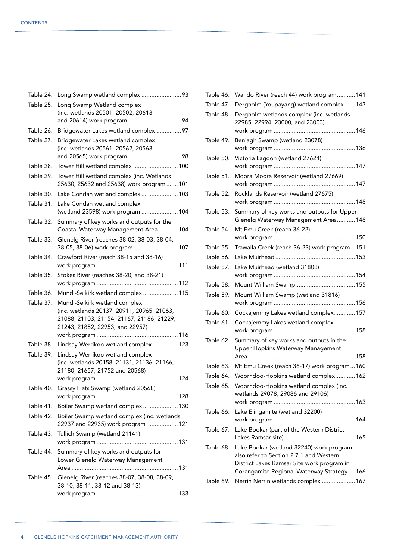| Table 24. | Long Swamp wetland complex 93                                                           |
|-----------|-----------------------------------------------------------------------------------------|
| Table 25. | Long Swamp Wetland complex                                                              |
|           | (inc. wetlands 20501, 20502, 20613                                                      |
|           |                                                                                         |
| Table 26. | Bridgewater Lakes wetland complex 97                                                    |
| Table 27. | Bridgewater Lakes wetland complex<br>(inc. wetlands 20561, 20562, 20563                 |
|           |                                                                                         |
| Table 28. | Tower Hill wetland complex  100                                                         |
| Table 29. | Tower Hill wetland complex (inc. Wetlands                                               |
|           | 25630, 25632 and 25638) work program  101                                               |
| Table 30. | Lake Condah wetland complex 103                                                         |
| Table 31. | Lake Condah wetland complex                                                             |
|           | (wetland 23598) work program  104                                                       |
| Table 32. | Summary of key works and outputs for the<br>Coastal Waterway Management Area104         |
| Table 33. | Glenelg River (reaches 38-02, 38-03, 38-04,<br>38-05, 38-06) work program 107           |
| Table 34. | Crawford River (reach 38-15 and 38-16)                                                  |
|           |                                                                                         |
| Table 35. | Stokes River (reaches 38-20, and 38-21)                                                 |
|           |                                                                                         |
| Table 36. | Mundi-Selkirk wetland complex  115                                                      |
| Table 37. | Mundi-Selkirk wetland complex                                                           |
|           | (inc. wetlands 20137, 20911, 20965, 21063,<br>21088, 21103, 21154, 21167, 21186, 21229, |
|           | 21243, 21852, 22953, and 22957)                                                         |
|           |                                                                                         |
| Table 38. | Lindsay-Werrikoo wetland complex  123                                                   |
| Table 39. | Lindsay-Werrikoo wetland complex                                                        |
|           | (inc. wetlands 20158, 21131, 21136, 21166,                                              |
|           | 21180, 21657, 21752 and 20568)                                                          |
| Table 40. | Grassy Flats Swamp (wetland 20568)                                                      |
|           |                                                                                         |
| Table 41. | Boiler Swamp wetland complex130                                                         |
| Table 42. | Boiler Swamp wetland complex (inc. wetlands                                             |
|           | 22937 and 22935) work program  121                                                      |
| Table 43. | Tullich Swamp (wetland 21141)                                                           |
| Table 44. | Summary of key works and outputs for                                                    |
|           | Lower Glenelg Waterway Management                                                       |
|           |                                                                                         |
| Table 45. | Glenelg River (reaches 38-07, 38-08, 38-09,<br>38-10, 38-11, 38-12 and 38-13)           |
|           |                                                                                         |
|           |                                                                                         |

| Table 46. | Wando River (reach 44) work program 141                                                                                                                                            |
|-----------|------------------------------------------------------------------------------------------------------------------------------------------------------------------------------------|
| Table 47. | Dergholm (Youpayang) wetland complex  143                                                                                                                                          |
| Table 48. | Dergholm wetlands complex (inc. wetlands<br>22985, 22994, 23000, and 23003)                                                                                                        |
| Table 49. | Beniagh Swamp (wetland 23078)                                                                                                                                                      |
|           |                                                                                                                                                                                    |
| Table 50. | Victoria Lagoon (wetland 27624)                                                                                                                                                    |
| Table 51. | Moora Moora Reservoir (wetland 27669)                                                                                                                                              |
| Table 52. | Rocklands Reservoir (wetland 27675)                                                                                                                                                |
| Table 53. | Summary of key works and outputs for Upper<br>Glenelg Waterway Management Area  148                                                                                                |
| Table 54. | Mt Emu Creek (reach 36-22)                                                                                                                                                         |
| Table 55. | Trawalla Creek (reach 36-23) work program 151                                                                                                                                      |
| Table 56. |                                                                                                                                                                                    |
| Table 57. | Lake Muirhead (wetland 31808)                                                                                                                                                      |
| Table 58. |                                                                                                                                                                                    |
| Table 59. | Mount William Swamp (wetland 31816)                                                                                                                                                |
| Table 60. | Cockajemmy Lakes wetland complex 157                                                                                                                                               |
| Table 61. | Cockajemmy Lakes wetland complex                                                                                                                                                   |
| Table 62. | Summary of key works and outputs in the<br>Upper Hopkins Waterway Management                                                                                                       |
|           | Area                                                                                                                                                                               |
| Table 63. | Mt Emu Creek (reach 36-17) work program160                                                                                                                                         |
| Table 64. | Woorndoo-Hopkins wetland complex 162                                                                                                                                               |
| Table 65. | Woorndoo-Hopkins wetland complex (inc.<br>wetlands 29078, 29086 and 29106)                                                                                                         |
| Table 66. | Lake Elingamite (wetland 32200)                                                                                                                                                    |
| Table 67. | Lake Bookar (part of the Western District                                                                                                                                          |
| Table 68. | Lake Bookar (wetland 32240) work program -<br>also refer to Section 2.7.1 and Western<br>District Lakes Ramsar Site work program in<br>Corangamite Regional Waterway Strategy  166 |
| Table 69. | Nerrin Nerrin wetlands complex  167                                                                                                                                                |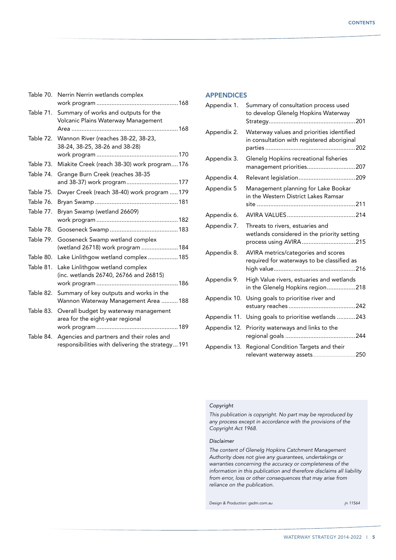| Table 70. | Nerrin Nerrin wetlands complex                                                                 |
|-----------|------------------------------------------------------------------------------------------------|
| Table 71. | Summary of works and outputs for the<br>Volcanic Plains Waterway Management                    |
| Table 72. | Wannon River (reaches 38-22, 38-23,<br>38-24, 38-25, 38-26 and 38-28)                          |
| Table 73. | Miakite Creek (reach 38-30) work program176                                                    |
| Table 74. | Grange Burn Creek (reaches 38-35<br>and 38-37) work program 177                                |
| Table 75. | Dwyer Creek (reach 38-40) work program  179                                                    |
| Table 76. |                                                                                                |
| Table 77. | Bryan Swamp (wetland 26609)                                                                    |
|           |                                                                                                |
| Table 78. |                                                                                                |
| Table 79. | Gooseneck Swamp wetland complex<br>(wetland 26718) work program 184                            |
| Table 80. | Lake Linlithgow wetland complex185                                                             |
| Table 81. | Lake Linlithgow wetland complex<br>(inc. wetlands 26740, 26766 and 26815)                      |
| Table 82. | Summary of key outputs and works in the<br>Wannon Waterway Management Area 188                 |
| Table 83. | Overall budget by waterway management<br>area for the eight-year regional                      |
| Table 84. | Agencies and partners and their roles and<br>responsibilities with delivering the strategy 191 |
|           |                                                                                                |

#### **APPENDICES**

| Appendix 1.  | Summary of consultation process used<br>to develop Glenelg Hopkins Waterway             |
|--------------|-----------------------------------------------------------------------------------------|
| Appendix 2.  | Waterway values and priorities identified<br>in consultation with registered aboriginal |
| Appendix 3.  | Glenelg Hopkins recreational fisheries<br>management priorities207                      |
| Appendix 4.  |                                                                                         |
| Appendix 5   | Management planning for Lake Bookar<br>in the Western District Lakes Ramsar             |
| Appendix 6.  |                                                                                         |
|              |                                                                                         |
| Appendix 7.  | Threats to rivers, estuaries and<br>wetlands considered in the priority setting         |
| Appendix 8.  | AVIRA metrics/categories and scores<br>required for waterways to be classified as       |
| Appendix 9.  | High Value rivers, estuaries and wetlands<br>in the Glenelg Hopkins region218           |
| Appendix 10. | Using goals to prioritise river and                                                     |
| Appendix 11. | Using goals to prioritise wetlands 243                                                  |
| Appendix 12. | Priority waterways and links to the                                                     |
| Appendix 13. | Regional Condition Targets and their<br>relevant waterway assets250                     |

#### *Copyright*

*This publication is copyright. No part may be reproduced by any process except in accordance with the provisions of the Copyright Act 1968.* 

#### *Disclaimer*

*The content of Glenelg Hopkins Catchment Management Authority does not give any guarantees, undertakings or warranties concerning the accuracy or completeness of the information in this publication and therefore disclaims all liability from error, loss or other consequences that may arise from reliance on the publication.*

*Design & Production: gsdm.com.au jn 11564*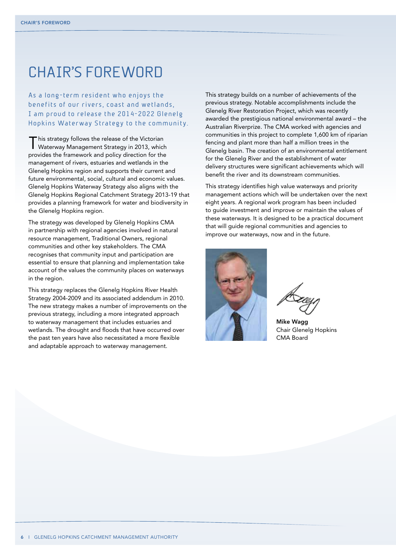### Chair'S Foreword

As a long-term resident who enjoys the benefits of our rivers, coast and wetlands, I am proud to release the 2014-2022 Glenele Hopkins Waterway Strategy to the community.

This strategy follows the release of the Victorian Waterway Management Strategy in 2013, which provides the framework and policy direction for the management of rivers, estuaries and wetlands in the Glenelg Hopkins region and supports their current and future environmental, social, cultural and economic values. Glenelg Hopkins Waterway Strategy also aligns with the Glenelg Hopkins Regional Catchment Strategy 2013-19 that provides a planning framework for water and biodiversity in the Glenelg Hopkins region.

The strategy was developed by Glenelg Hopkins CMA in partnership with regional agencies involved in natural resource management, Traditional Owners, regional communities and other key stakeholders. The CMA recognises that community input and participation are essential to ensure that planning and implementation take account of the values the community places on waterways in the region.

This strategy replaces the Glenelg Hopkins River Health Strategy 2004-2009 and its associated addendum in 2010. The new strategy makes a number of improvements on the previous strategy, including a more integrated approach to waterway management that includes estuaries and wetlands. The drought and floods that have occurred over the past ten years have also necessitated a more flexible and adaptable approach to waterway management.

This strategy builds on a number of achievements of the previous strategy. Notable accomplishments include the Glenelg River Restoration Project, which was recently awarded the prestigious national environmental award – the Australian Riverprize. The CMA worked with agencies and communities in this project to complete 1,600 km of riparian fencing and plant more than half a million trees in the Glenelg basin. The creation of an environmental entitlement for the Glenelg River and the establishment of water delivery structures were significant achievements which will benefit the river and its downstream communities.

This strategy identifies high value waterways and priority management actions which will be undertaken over the next eight years. A regional work program has been included to guide investment and improve or maintain the values of these waterways. It is designed to be a practical document that will guide regional communities and agencies to improve our waterways, now and in the future.



Mike Wagg Chair Glenelg Hopkins CMA Board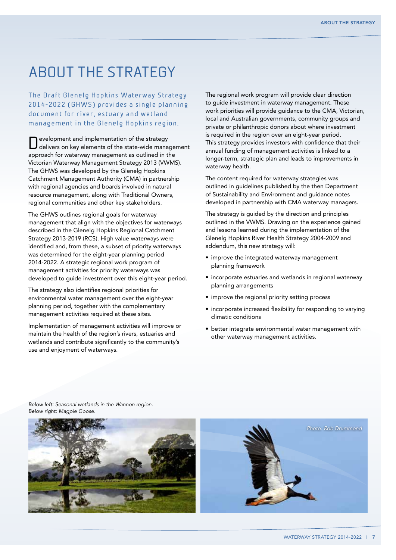## ABOUT THE STRATEGY

The Draft Glenelg Hopkins Waterway Strategy 2014-2022 (GHWS) provides a single planning document for river, estuary and wetland management in the Glenelg Hopkins region.

Development and implementation of the strategy delivers on key elements of the state-wide management approach for waterway management as outlined in the Victorian Waterway Management Strategy 2013 (VWMS). The GHWS was developed by the Glenelg Hopkins Catchment Management Authority (CMA) in partnership with regional agencies and boards involved in natural resource management, along with Traditional Owners, regional communities and other key stakeholders.

The GHWS outlines regional goals for waterway management that align with the objectives for waterways described in the Glenelg Hopkins Regional Catchment Strategy 2013-2019 (RCS). High value waterways were identified and, from these, a subset of priority waterways was determined for the eight-year planning period 2014-2022. A strategic regional work program of management activities for priority waterways was developed to guide investment over this eight-year period.

The strategy also identifies regional priorities for environmental water management over the eight-year planning period, together with the complementary management activities required at these sites.

Implementation of management activities will improve or maintain the health of the region's rivers, estuaries and wetlands and contribute significantly to the community's use and enjoyment of waterways.

The regional work program will provide clear direction to guide investment in waterway management. These work priorities will provide guidance to the CMA, Victorian, local and Australian governments, community groups and private or philanthropic donors about where investment is required in the region over an eight-year period. This strategy provides investors with confidence that their annual funding of management activities is linked to a longer-term, strategic plan and leads to improvements in waterway health.

The content required for waterway strategies was outlined in guidelines published by the then Department of Sustainability and Environment and guidance notes developed in partnership with CMA waterway managers.

The strategy is guided by the direction and principles outlined in the VWMS. Drawing on the experience gained and lessons learned during the implementation of the Glenelg Hopkins River Health Strategy 2004-2009 and addendum, this new strategy will:

- improve the integrated waterway management planning framework
- incorporate estuaries and wetlands in regional waterway planning arrangements
- improve the regional priority setting process
- incorporate increased flexibility for responding to varying climatic conditions
- better integrate environmental water management with other waterway management activities.

*Below left: Seasonal wetlands in the Wannon region. Below right: Magpie Goose.*